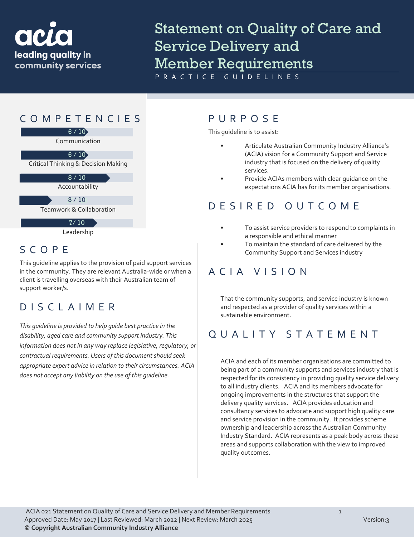

# Statement on Quality of Care and Service Delivery and Member Requirements PRACTICE GUIDELINES



#### Leadership

# SCOPE

This guideline applies to the provision of paid support services in the community. They are relevant Australia-wide or when a client is travelling overseas with their Australian team of support worker/s.

## DISCLAIMER

*This guideline is provided to help guide best practice in the disability, aged care and community support industry. This information does not in any way replace legislative, regulatory, or contractual requirements. Users of this document should seek appropriate expert advice in relation to their circumstances. ACIA does not accept any liability on the use of this guideline.*

### COMPETENCIES PURPOS E

This guideline is to assist:

- Articulate Australian Community Industry Alliance's (ACIA) vision for a Community Support and Service industry that is focused on the delivery of quality services.
- Provide ACIAs members with clear guidance on the expectations ACIA has for its member organisations.

## DESIRED OUTCOME

- To assist service providers to respond to complaints in a responsible and ethical manner
- To maintain the standard of care delivered by the Community Support and Services industry

## ACIA VISION

That the community supports, and service industry is known and respected as a provider of quality services within a sustainable environment.

### QUALITY STA TEMENT

ACIA and each of its member organisations are committed to being part of a community supports and services industry that is respected for its consistency in providing quality service delivery to all industry clients. ACIA and its members advocate for ongoing improvements in the structures that support the delivery quality services. ACIA provides education and consultancy services to advocate and support high quality care and service provision in the community. It provides scheme ownership and leadership across the Australian Community Industry Standard. ACIA represents as a peak body across these areas and supports collaboration with the view to improved quality outcomes.